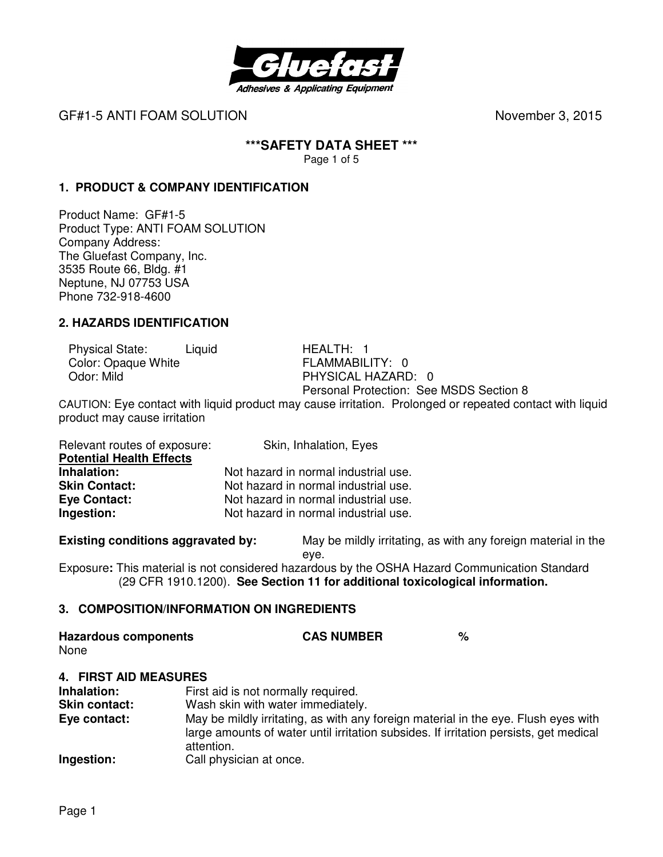

# **\*\*\*SAFETY DATA SHEET \*\*\***

Page 1 of 5

# **1. PRODUCT & COMPANY IDENTIFICATION**

Product Name: GF#1-5 Product Type: ANTI FOAM SOLUTION Company Address: The Gluefast Company, Inc. 3535 Route 66, Bldg. #1 Neptune, NJ 07753 USA Phone 732-918-4600

#### **2. HAZARDS IDENTIFICATION**

Physical State: Liquid HEALTH: 1 Color: Opaque White FLAMMABILITY: 0<br>
Odor: Mild PHYSICAL HAZARD

PHYSICAL HAZARD: 0 Personal Protection: See MSDS Section 8

CAUTION: Eye contact with liquid product may cause irritation. Prolonged or repeated contact with liquid product may cause irritation

| Relevant routes of exposure:    | Skin, Inhalation, Eyes               |
|---------------------------------|--------------------------------------|
| <b>Potential Health Effects</b> |                                      |
| Inhalation:                     | Not hazard in normal industrial use. |
| <b>Skin Contact:</b>            | Not hazard in normal industrial use. |
| <b>Eye Contact:</b>             | Not hazard in normal industrial use. |
| Ingestion:                      | Not hazard in normal industrial use. |

**Existing conditions aggravated by:** May be mildly irritating, as with any foreign material in the

eye.

Exposure**:** This material is not considered hazardous by the OSHA Hazard Communication Standard (29 CFR 1910.1200). **See Section 11 for additional toxicological information.** 

#### **3. COMPOSITION/INFORMATION ON INGREDIENTS**

| <b>Hazardous components</b> | <b>CAS NUMBER</b> |  |
|-----------------------------|-------------------|--|
|                             |                   |  |

None

#### **4. FIRST AID MEASURES**

| Inhalation:<br><b>Skin contact:</b> | First aid is not normally required.<br>Wash skin with water immediately.                                                                                                                  |
|-------------------------------------|-------------------------------------------------------------------------------------------------------------------------------------------------------------------------------------------|
| Eye contact:                        | May be mildly irritating, as with any foreign material in the eye. Flush eyes with<br>large amounts of water until irritation subsides. If irritation persists, get medical<br>attention. |
| Ingestion:                          | Call physician at once.                                                                                                                                                                   |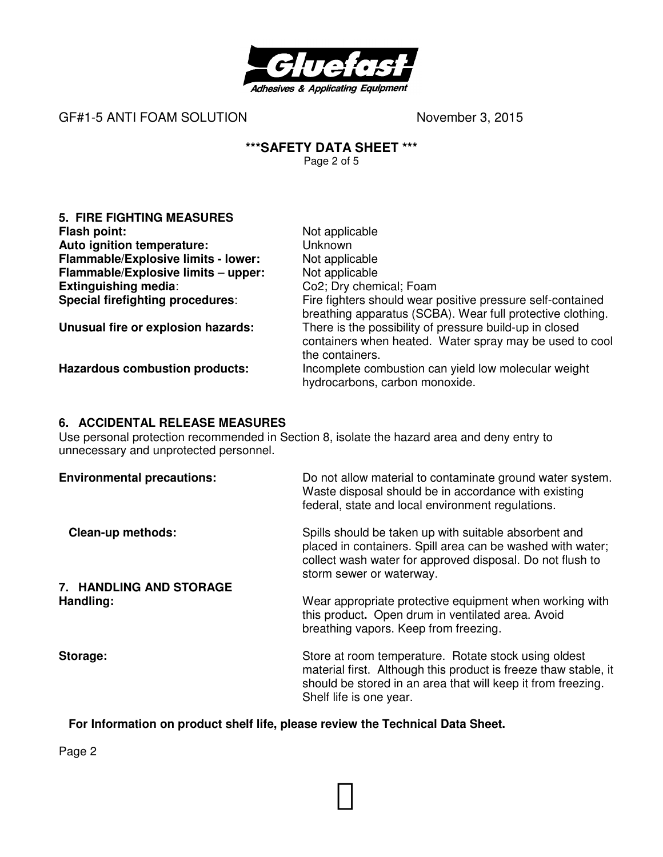

# **\*\*\*SAFETY DATA SHEET \*\*\***

Page 2 of 5

| <b>5. FIRE FIGHTING MEASURES</b>        |                                                                                                                                       |
|-----------------------------------------|---------------------------------------------------------------------------------------------------------------------------------------|
| Flash point:                            | Not applicable                                                                                                                        |
| Auto ignition temperature:              | <b>Unknown</b>                                                                                                                        |
| Flammable/Explosive limits - lower:     | Not applicable                                                                                                                        |
| Flammable/Explosive limits - upper:     | Not applicable                                                                                                                        |
| <b>Extinguishing media:</b>             | Co2; Dry chemical; Foam                                                                                                               |
| <b>Special firefighting procedures:</b> | Fire fighters should wear positive pressure self-contained<br>breathing apparatus (SCBA). Wear full protective clothing.              |
| Unusual fire or explosion hazards:      | There is the possibility of pressure build-up in closed<br>containers when heated. Water spray may be used to cool<br>the containers. |
| <b>Hazardous combustion products:</b>   | Incomplete combustion can yield low molecular weight<br>hydrocarbons, carbon monoxide.                                                |

# **6. ACCIDENTAL RELEASE MEASURES**

Use personal protection recommended in Section 8, isolate the hazard area and deny entry to unnecessary and unprotected personnel.

| <b>Environmental precautions:</b>    | Do not allow material to contaminate ground water system.<br>Waste disposal should be in accordance with existing<br>federal, state and local environment regulations.                                             |
|--------------------------------------|--------------------------------------------------------------------------------------------------------------------------------------------------------------------------------------------------------------------|
| <b>Clean-up methods:</b>             | Spills should be taken up with suitable absorbent and<br>placed in containers. Spill area can be washed with water;<br>collect wash water for approved disposal. Do not flush to<br>storm sewer or waterway.       |
| 7. HANDLING AND STORAGE<br>Handling: | Wear appropriate protective equipment when working with<br>this product. Open drum in ventilated area. Avoid<br>breathing vapors. Keep from freezing.                                                              |
| Storage:                             | Store at room temperature. Rotate stock using oldest<br>material first. Although this product is freeze thaw stable, it<br>should be stored in an area that will keep it from freezing.<br>Shelf life is one year. |

# **For Information on product shelf life, please review the Technical Data Sheet.**

Page 2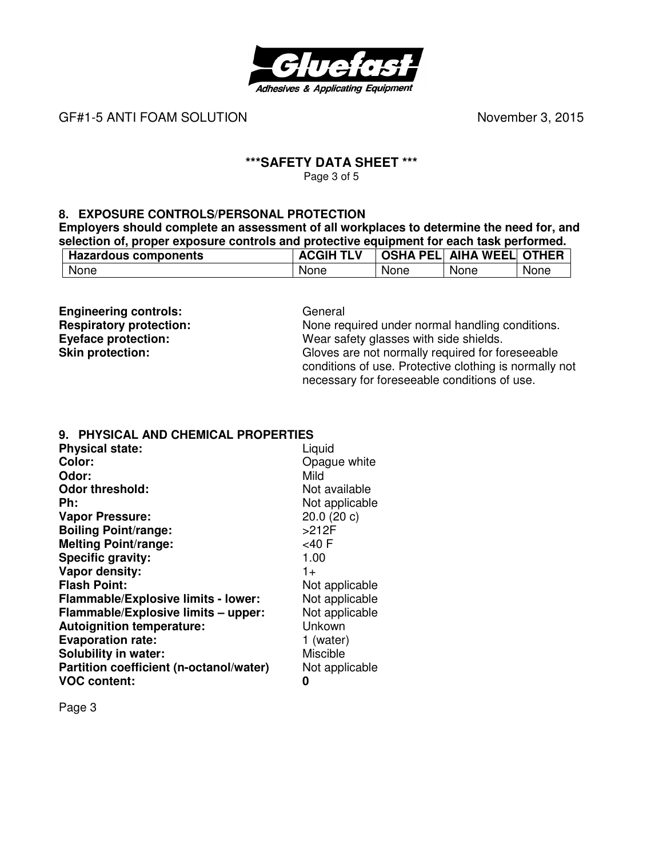

#### **\*\*\*SAFETY DATA SHEET \*\*\***  Page 3 of 5

**8. EXPOSURE CONTROLS/PERSONAL PROTECTION** 

**Employers should complete an assessment of all workplaces to determine the need for, and selection of, proper exposure controls and protective equipment for each task performed.** 

| <b>Hazardous components</b> | , TLV | <b>OSHA PELI</b> | <b>AIHA WEEL</b> | <b>OTHER</b> |
|-----------------------------|-------|------------------|------------------|--------------|
| None                        | None  | None             | None             | <b>None</b>  |

**Engineering controls:** General **Respiratory protection:** None rec

**Respiratory protection:** None required under normal handling conditions.<br> **Eyeface protection:** Wear safety glasses with side shields. **Eyeface protection:** Wear safety glasses with side shields.<br> **Skin protection:** Gloves are not normally required for fo **Skin protection:** Gloves are not normally required for foreseeable conditions of use. Protective clothing is normally not necessary for foreseeable conditions of use.

#### **9. PHYSICAL AND CHEMICAL PROPERTIES**

| <b>Physical state:</b>                  | Liquid          |
|-----------------------------------------|-----------------|
| Color:                                  | Opague white    |
| Odor:                                   | Mild            |
| <b>Odor threshold:</b>                  | Not available   |
| Ph:                                     | Not applicable  |
| <b>Vapor Pressure:</b>                  | 20.0 (20 c)     |
| <b>Boiling Point/range:</b>             | $>212F$         |
| <b>Melting Point/range:</b>             | <40F            |
| Specific gravity:                       | 1.00            |
| Vapor density:                          | $1 +$           |
| <b>Flash Point:</b>                     | Not applicable  |
| Flammable/Explosive limits - lower:     | Not applicable  |
| Flammable/Explosive limits - upper:     | Not applicable  |
| <b>Autoignition temperature:</b>        | Unkown          |
| <b>Evaporation rate:</b>                | 1 (water)       |
| Solubility in water:                    | <b>Miscible</b> |
| Partition coefficient (n-octanol/water) | Not applicable  |
| <b>VOC content:</b>                     | Ω               |

Page 3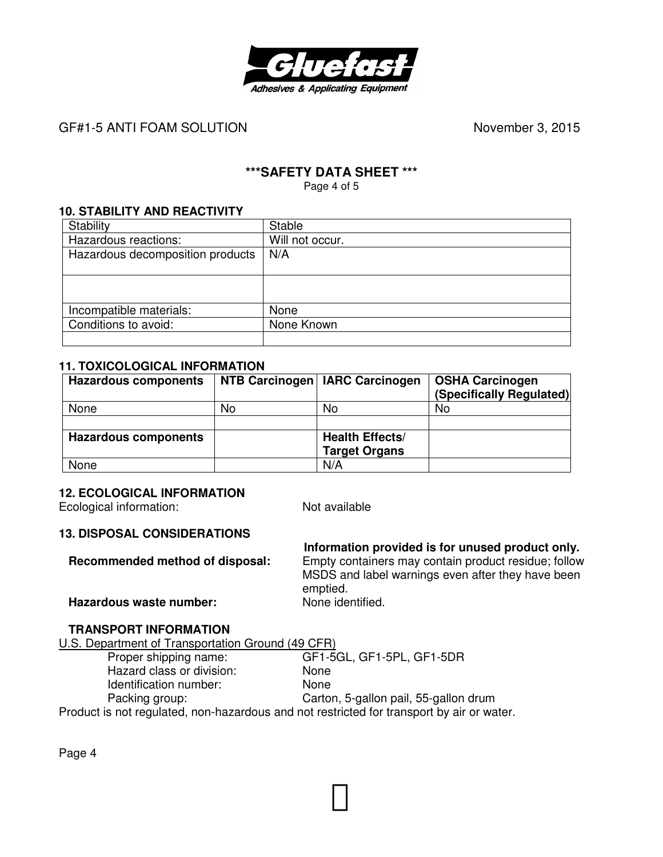

# **\*\*\*SAFETY DATA SHEET \*\*\***

Page 4 of 5

#### **10. STABILITY AND REACTIVITY**

| Stability                        | <b>Stable</b>   |
|----------------------------------|-----------------|
| Hazardous reactions:             | Will not occur. |
| Hazardous decomposition products | N/A             |
|                                  |                 |
|                                  |                 |
|                                  |                 |
| Incompatible materials:          | None            |
| Conditions to avoid:             | None Known      |
|                                  |                 |

#### **11. TOXICOLOGICAL INFORMATION**

| <b>Hazardous components</b> |    | NTB Carcinogen   IARC Carcinogen | <b>OSHA Carcinogen</b><br>(Specifically Regulated) |
|-----------------------------|----|----------------------------------|----------------------------------------------------|
| None                        | No | No                               | No                                                 |
|                             |    |                                  |                                                    |
| <b>Hazardous components</b> |    | <b>Health Effects/</b>           |                                                    |
|                             |    | <b>Target Organs</b>             |                                                    |
| None                        |    | N/A                              |                                                    |

#### **12. ECOLOGICAL INFORMATION**

Ecological information: Not available

#### **13. DISPOSAL CONSIDERATIONS**

 **Information provided is for unused product only. Recommended method of disposal:** Empty containers may contain product residue; follow MSDS and label warnings even after they have been emptied.<br>None identified. **Hazardous waste number:** 

# **TRANSPORT INFORMATION**

U.S. Department of Transportation Ground (49 CFR)<br>Proper shipping name: GF1-5 GF1-5GL, GF1-5PL, GF1-5DR Hazard class or division: None Identification number: None Packing group: Carton, 5-gallon pail, 55-gallon drum Product is not regulated, non-hazardous and not restricted for transport by air or water.

Page 4